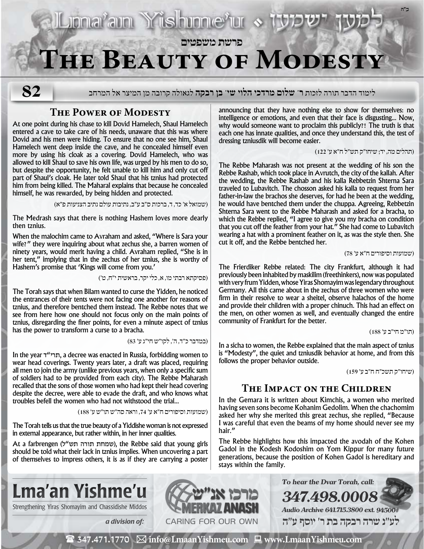# **Jonarain Yrishunnerur פרשת משפטים The Beauty of Modesty**

**82**

לימוד הדבר תורה לזכות **ר' שלום מרדכי הלוי שי' בן רבקה** לגאולה קרובה מן המיצר אל המרחב

## **The Power of Modesty**

At one point during his chase to kill Dovid Hamelech, Shaul Hamelech entered a cave to take care of his needs, unaware that this was where Dovid and his men were hiding. To ensure that no one see him, Shaul Hamelech went deep inside the cave, and he concealed himself even more by using his cloak as a covering. Dovid Hamelech, who was allowed to kill Shaul to save his own life, was urged by his men to do so, but despite the opportunity, he felt unable to kill him and only cut off part of Shaul's cloak. He later told Shaul that his tznius had protected him from being killed. The Maharal explains that because he concealed himself, he was rewarded, by being hidden and protected.

)שמואל א׳ כד, ד, ברכות ס״ב ע״ב, נתיבות עולם נתיב הצניעות פ״א(

The Medrash says that there is nothing Hashem loves more dearly then tznius.

When the malochim came to Avraham and asked, "Where is Sara your wife?" they were inquiring about what zechus she, a barren women of ninety years, would merit having a child. Avraham replied, "She is in her tent," implying that in the zechus of her tznius, she is worthy of Hashem's promise that 'Kings will come from you.'

)פסיקתא רבתי מו, א, כלי יקר, בראשית י״ח, ט׳(

The Torah says that when Bilam wanted to curse the Yidden, he noticed the entrances of their tents were not facing one another for reasons of tznius, and therefore bentched them instead. The Rebbe notes that we see from here how one should not focus only on the main points of tznius, disregarding the finer points, for even a minute aspect of tznius has the power to transform a curse to a bracha.

)במדבר כ״ד, ה׳, לקו״ש חי״ג ע׳ 83(

In the year ד"תרי, a decree was enacted in Russia, forbidding women to wear head coverings. Twenty years later, a draft was placed, requiring all men to join the army (unlike previous years, when only a specific sum of soldiers had to be provided from each city). The Rebbe Maharash recalled that the sons of those women who had kept their head covering despite the decree, were able to evade the draft, and who knows what troubles befell the women who had not withstood the trial...

)שמועות וסיפורים ח״א ע׳ ,74 וראה סה״ש תו״ש ע׳ 188(

The Torah tells us that the true beauty of a Yiddishe woman is not expressed in external appearance, but rather within, in her inner qualities.

At a farbrengen (שמחת תורה תש"ל), the Rebbe said that young girls should be told what their lack in tznius implies. When uncovering a part of themselves to impress others, it is as if they are carrying a poster announcing that they have nothing else to show for themselves: no intelligence or emotions, and even that their face is disgusting... Now, why would someone want to proclaim this publicly?! The truth is that each one has innate qualities, and once they understand this, the test of dressing tzniusdik will become easier.

)תהלים מה, יד; שיחו״ק תש״ל ח״א ע׳ 122(

**ב"ה**

The Rebbe Maharash was not present at the wedding of his son the Rebbe Rashab, which took place in Avrutch, the city of the kallah. After the wedding, the Rebbe Rashab and his kalla Rebbetzin Shterna Sara traveled to Lubavitch. The chosson asked his kalla to request from her father-in-law the brachos she deserves, for had he been at the wedding, he would have bentched them under the chuppa. Agreeing, Rebbetzin Shterna Sara went to the Rebbe Maharash and asked for a bracha, to which the Rebbe replied, "I agree to give you my bracha on condition that you cut off the feather from your hat." She had come to Lubavitch wearing a hat with a prominent feather on it, as was the style then. She cut it off, and the Rebbe bentched her.

#### )שמועות וסיפורים ח״א ע׳ 78(

The Frierdiker Rebbe related: The city Frankfurt, although it had previously been inhabited by maskilim (freethinkers), now was populated with very frum Yidden, whose Yiras Shomayim was legendary throughout Germany. All this came about in the zechus of three women who were firm in their resolve to wear a sheitel, observe halachos of the home and provide their children with a proper chinuch. This had an effect on the men, on other women as well, and eventually changed the entire community of Frankfurt for the better.

)תו״מ חי״ב ע׳ 188(

In a sicha to women, the Rebbe explained that the main aspect of tznius is "Modesty", the quiet and tzniusdik behavior at home, and from this follows the proper behavior outside.

)שיחו״ק תשכ״ח ח״ב ע׳ 159(

## **The Impact on the Children**

In the Gemara it is written about Kimchis, a women who merited having seven sons become Kohanim Gedolim. When the chachomim asked her why she merited this great zechus, she replied, "Because I was careful that even the beams of my home should never see my hair."

The Rebbe highlights how this impacted the avodah of the Kohen Gadol in the Kodesh Kodoshim on Yom Kippur for many future generations, because the position of Kohen Gadol is hereditary and stays within the family.

**To hear the Dvar Torah, call:**

**347.498.0008**



Strengthening Yiras Shomayim and Chassidishe Middos



**Audio Archive 641.715.3800 ext. 94500# לע"נ שרה רבקה בת ר׳ יוסף ע"ה**

 $\mathbf{\mathcal{F}}$  347.471.1770  $\boxtimes$  info@LmaanYishmeu.com  $\mathbf{\mathcal{F}}$  www.LmaanYishmeu.com